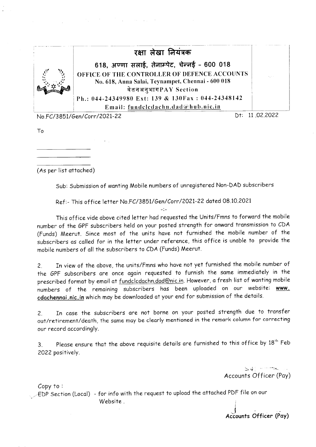

 $\mathcal{P}_{\mathcal{A}}$  and  $\mathcal{P}_{\mathcal{A}}$  are the set of the set of the set of the set of the set of  $\mathcal{A}$ 

No. FC/3851/Gen/Corr/2021-22

Dt: 11.02.2022

To

(As per list attoched)

Sub: Submission of wanting Mobile numbers of unregistered Non-DAD subscribers

Ref:- This of fice letter No. FC/3851/Gen/Corr/2021-22 dated 08.10.2021

This office vide above cited letter had requested the Units/Fmns to forward the mobile number of the GPF subscribers held on your posted strength for onward transmission to CDA (Funds) Meerut. Since most of the units have not furnished the mobile number of the subscribers as called for in the letter under reference, this office is unable to provide the mobile numbers of oll the subscribers to CDA (Funds) Meerut.

2. In view of the above, the units/Fmns who have not yet furnished the mobile number of the GPF subscribers ore once ogoin requested to furnish the some immediotely in the prescribed format by email at fundclcdachn.dad@nic.in. However, a fresh list of wanting mobile numbers of the remaining subscribers has been uploaded on our website: www. cdachennai.nic.in which may be downloaded at your end for submission of the details.

2. In case the subscribers are not borne on your posted strength due to transfer out/retirement/death, the same may be clearly mentioned in the remark column for correcting our record occordingly.

3. Please ensure that the above requisite details are furnished to this office by  $18^{th}$  Feb 2022 positively.

> $\ge$   $\downarrow$  i  $\cdots$   $\sim$ Accounts Officer (Pay)

Copy to :

 $\widehat{\mathsf{EDP}}$  Section (Local)  $\,$  - for info with the request to upload the attached PDF file on our Website . ;

I Aciounts Officer (Poy)

I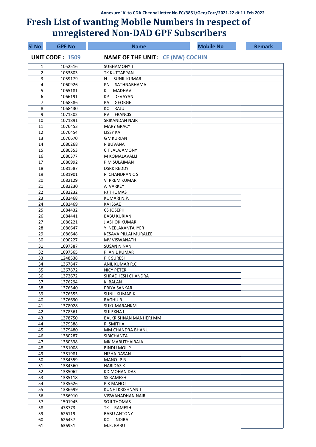| <b>SI No</b>   | <b>GPF No</b>          | <b>Name</b>                             | <b>Mobile No</b> | <b>Remark</b> |
|----------------|------------------------|-----------------------------------------|------------------|---------------|
|                | <b>UNIT CODE: 1509</b> | <b>NAME OF THE UNIT: CE (NW) COCHIN</b> |                  |               |
| 1              | 1052516                | <b>SUBHAMONY T</b>                      |                  |               |
| $\overline{2}$ | 1053803                | TK KUTTAPPAN                            |                  |               |
| 3              | 1059179                | N<br><b>SUNIL KUMAR</b>                 |                  |               |
| 4              | 1060926                | PN SATHNABHAMA                          |                  |               |
| 5              | 1065181                | MADHAVI<br>K.                           |                  |               |
| 6              | 1066191                | DEVAYANI<br>KP                          |                  |               |
| 7              | 1068386                | <b>GEORGE</b><br>PА                     |                  |               |
| 8              | 1068430                | RAJU<br>ĸс                              |                  |               |
| 9              | 1071302                | <b>FRANCIS</b><br>PV -                  |                  |               |
| 10             | 1071891                | <b>SRIKANDAN NAIR</b>                   |                  |               |
| 11             | 1076453                | <b>MARY GRACY</b>                       |                  |               |
| 12             | 1076454                | <b>LISSY KA</b>                         |                  |               |
| 13             | 1076670                | <b>GV KURIAN</b>                        |                  |               |
| 14             | 1080268                | R BUVANA                                |                  |               |
| 15             | 1080353                | C T JALAJAMONY                          |                  |               |
| 16<br>17       | 1080377<br>1080992     | M KOMALAVALLI                           |                  |               |
| 18             | 1081587                | P M SULAIMAN<br><b>DSRK REDDY</b>       |                  |               |
| 19             | 1081901                | P CHANDRAN C S                          |                  |               |
| 20             | 1082129                | V PREM KUMAR                            |                  |               |
| 21             | 1082230                | A VARKEY                                |                  |               |
| 22             | 1082232                | PJ THOMAS                               |                  |               |
| 23             | 1082468                | KUMARI N.P.                             |                  |               |
| 24             | 1082469                | <b>KA ISSAE</b>                         |                  |               |
| 25             | 1084432                | <b>CS JOSEPH</b>                        |                  |               |
| 26             | 1084441                | <b>BABU KURIAN</b>                      |                  |               |
| 27             | 1086221                | <b>J.ASHOK KUMAR</b>                    |                  |               |
| 28             | 1086647                | Y NEELAKANTA IYER                       |                  |               |
| 29             | 1086648                | <b>KESAVA PILLAI MURALEE</b>            |                  |               |
| 30             | 1090227                | MV VISWANATH                            |                  |               |
| 31             | 1097387                | <b>SUSAN NINAN</b>                      |                  |               |
| 32             | 1097565                | P ANIL KUMAR                            |                  |               |
| 33             | 1248538                | P K SURESH                              |                  |               |
| 34             | 1367847                | ANIL KUMAR R.C                          |                  |               |
| 35             | 1367872                | <b>NICY PETER</b>                       |                  |               |
| 36             | 1372672                | SHRADHESH CHANDRA                       |                  |               |
| 37             | 1376294                | K BALAN                                 |                  |               |
| 38             | 1376540                | PRIYA SANKAR                            |                  |               |
| 39             | 1376555                | <b>SUNIL KUMAR K</b>                    |                  |               |
| 40             | 1376690                | <b>RAGHUR</b>                           |                  |               |
| 41             | 1378028                | SUKUMARANKM                             |                  |               |
| 42             | 1378361                | <b>SULEKHAL</b>                         |                  |               |
| 43<br>44       | 1378750                | BALKRISHNAN MANHERI MM                  |                  |               |
| 45             | 1379388<br>1379480     | R SMITHA<br>MM CHANDRA BHANU            |                  |               |
| 46             | 1380287                | SIBICHANTA                              |                  |               |
| 47             | 1380338                | MK MARUTHAIRAJA                         |                  |               |
| 48             | 1381008                | <b>BINDU MOL P</b>                      |                  |               |
| 49             | 1381981                | NISHA DASAN                             |                  |               |
| 50             | 1384359                | <b>MANOJ P N</b>                        |                  |               |
| 51             | 1384360                | <b>HARIDAS K</b>                        |                  |               |
| 52             | 1385062                | <b>KD MOHAN DAS</b>                     |                  |               |
| 53             | 1385118                | <b>SS RAMESH</b>                        |                  |               |
| 54             | 1385626                | P K MANOJ                               |                  |               |
| 55             | 1386699                | KUNHI KRISHNAN T                        |                  |               |
| 56             | 1386910                | VISWANADHAN NAIR                        |                  |               |
| 57             | 1501945                | SOJI THOMAS                             |                  |               |
| 58             | 478773                 | TK RAMESH                               |                  |               |
| 59             | 626119                 | <b>BABU ANTONY</b>                      |                  |               |
| 60             | 626437                 | KC INDIRA                               |                  |               |
| 61             | 636951                 | M.K. BABU                               |                  |               |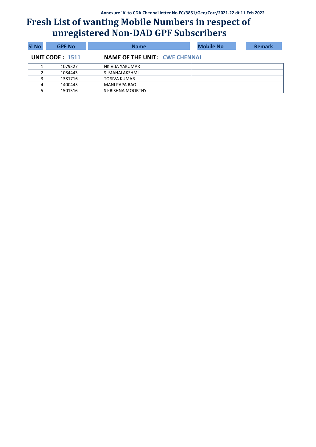| <b>SI No</b> | <b>GPF No</b>          | <b>Name</b>                          | <b>Mobile No</b> | <b>Remark</b> |
|--------------|------------------------|--------------------------------------|------------------|---------------|
|              | <b>UNIT CODE: 1511</b> | <b>NAME OF THE UNIT: CWE CHENNAL</b> |                  |               |
|              | 1079327                | NK VIJA YAKUMAR                      |                  |               |
|              | 1084443                | S MAHALAKSHMI                        |                  |               |
|              | 1381716                | TC SIVA KUMAR                        |                  |               |
| 4            | 1400445                | MANI PAPA RAO                        |                  |               |
|              | 1501516                | S KRISHNA MOORTHY                    |                  |               |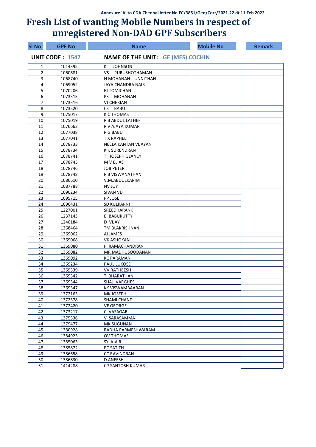| <b>SI No</b>   | <b>GPF No</b>          | <b>Name</b>                              | <b>Mobile No</b> | <b>Remark</b> |
|----------------|------------------------|------------------------------------------|------------------|---------------|
|                | <b>UNIT CODE: 1547</b> | <b>NAME OF THE UNIT: GE (MES) COCHIN</b> |                  |               |
| 1              | 1014395                | <b>JOHNSON</b><br>К                      |                  |               |
| $\overline{2}$ | 1060681                | VS PURUSHOTHAMAN                         |                  |               |
| 3              | 1068740                | N MOHANAN UNNITHAN                       |                  |               |
| 4              | 1069052                | JAYA CHANDRA NAIR                        |                  |               |
| 5              | 1070206                | EJ TOMICHAN                              |                  |               |
| 6              | 1073515                | PS.<br>MOHANAN                           |                  |               |
| $\overline{7}$ | 1073516                | <b>VJ CHERIAN</b>                        |                  |               |
| 8              | 1073520                | CS BABU                                  |                  |               |
| 9              | 1075017                | <b>K C THOMAS</b>                        |                  |               |
| 10             | 1075019                | P B ABDUL LATHEF                         |                  |               |
| 11             | 1076663                | P V AJAYA KUMAR                          |                  |               |
| 12             | 1077038                | P G BABU                                 |                  |               |
| 13             | 1077041                | <b>T X RAPHEL</b>                        |                  |               |
| 14             | 1078733                | NEELA KANTAN VIJAYAN                     |                  |               |
| 15             | 1078734                | <b>K K SURENDRAN</b>                     |                  |               |
| 16             | 1078741                | T I JOSEPH GLANCY                        |                  |               |
| 17             | 1078745                | M V ELIAS                                |                  |               |
| 18             | 1078746                | <b>JOB PETER</b>                         |                  |               |
| 19             | 1078748                | P B VISWANATHAN                          |                  |               |
| 20             | 1086610                | V.M.ABDULKARIM                           |                  |               |
| 21             | 1087788                | NV JOY                                   |                  |               |
| 22             | 1090234                | SIVAN VD                                 |                  |               |
| 23             | 1095715                | PP JOSE                                  |                  |               |
| 24             | 1096431                | SD KULKARNI                              |                  |               |
| 25             | 1227001                | SREEDHARANK                              |                  |               |
| 26             | 1237143                | <b>B BABUKUTTY</b>                       |                  |               |
| 27             | 1240184                | <b>D VIJAY</b>                           |                  |               |
| 28             | 1368464                | TM BLAKRISHNAN                           |                  |               |
| 29             | 1369062                | AI JAMES                                 |                  |               |
| 30             | 1369068                | <b>VK ASHOKAN</b>                        |                  |               |
| 31             | 1369080                | P RAMACHANDRAN                           |                  |               |
| 32             | 1369082                | MR MADHUSOODANAN                         |                  |               |
| 33             | 1369092                | <b>KC PARAMAN</b>                        |                  |               |
| 34             | 1369234                | <b>PAUL LUKOSE</b>                       |                  |               |
| 35             | 1369339                | <b>VV RATHEESH</b>                       |                  |               |
| 36             | 1369342                | T BHARATHAN                              |                  |               |
| 37             | 1369344                | SHAJI VARGHES                            |                  |               |
| 38             | 1369347                | KK VISWAMBAARAN                          |                  |               |
| 39             | 1372163                | MK JOSEPH                                |                  |               |
| 40             | 1372378                | SHAMI CHAND                              |                  |               |
| 41             | 1372420                | <b>VE GEORGE</b>                         |                  |               |
| 42             | 1373217                | C VASAGAR                                |                  |               |
| 43             | 1375536                | V SARASAMMA                              |                  |               |
| 44             | 1379477                | <b>MK SUGUNAN</b>                        |                  |               |
| 45             | 1380928                | RADHA PARMESHWARAM                       |                  |               |
| 46             | 1384923                | <b>OV THOMAS</b>                         |                  |               |
| 47             | 1385063                | SYLAJA R                                 |                  |               |
| 48             | 1385872                | PC SATITH                                |                  |               |
| 49             | 1386658                | <b>CC RAVINDRAN</b>                      |                  |               |
| 50             | 1386830                | D ANEESH                                 |                  |               |
| 51             | 1414288                | CP SANTOSH KUMAR                         |                  |               |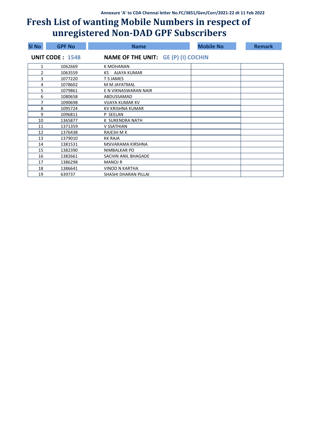| SI No | <b>GPF No</b>          | <b>Name</b>                                | <b>Mobile No</b> | <b>Remark</b> |
|-------|------------------------|--------------------------------------------|------------------|---------------|
|       | <b>UNIT CODE: 1548</b> | <b>NAME OF THE UNIT: GE (P) (I) COCHIN</b> |                  |               |
| 1     | 1062669                | K MOHANAN                                  |                  |               |
| 2     | 1063559                | AJAYA KUMAR<br>KS.                         |                  |               |
| 3     | 1077220                | T S JAMES                                  |                  |               |
| 4     | 1078602                | M M JAYATMAL                               |                  |               |
| 5     | 1079861                | E N VIKNASWARAN NAIR                       |                  |               |
| 6     | 1080658                | ABDUSSAMAD                                 |                  |               |
| 7     | 1090698                | <b>VIJAYA KUMAR KV</b>                     |                  |               |
| 8     | 1095724                | KV KRISHNA KUMAR                           |                  |               |
| 9     | 1096811                | P SEELAN                                   |                  |               |
| 10    | 1365877                | K SURENDRA NATH                            |                  |               |
| 11    | 1371359                | V SSATHIAN                                 |                  |               |
| 12    | 1376438                | <b>RAJESH M K</b>                          |                  |               |
| 13    | 1379010                | <b>KK RAJA</b>                             |                  |               |
| 14    | 1381531                | MSIVARAMA KIRSHNA                          |                  |               |
| 15    | 1382390                | NIMBALKAR PD                               |                  |               |
| 16    | 1382661                | SACHIN ANIL BHAGADE                        |                  |               |
| 17    | 1386298                | <b>MANOJ R</b>                             |                  |               |
| 18    | 1386641                | <b>VINOD N KARTHA</b>                      |                  |               |
| 19    | 639737                 | SHASHI DHARAN PILLAI                       |                  |               |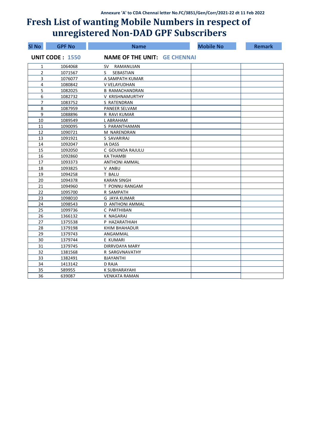| <b>SI No</b>   | <b>GPF No</b>          | <b>Name</b>                         | <b>Mobile No</b> | <b>Remark</b> |
|----------------|------------------------|-------------------------------------|------------------|---------------|
|                | <b>UNIT CODE: 1550</b> | <b>NAME OF THE UNIT: GE CHENNAI</b> |                  |               |
| 1              | 1064068                | RAMANUJAN<br>SV –                   |                  |               |
| $\overline{2}$ | 1071567                | SEBASTIAN<br>S.                     |                  |               |
| 3              | 1076077                | A SAMPATH KUMAR                     |                  |               |
| 4              | 1080842                | V VELAYUDHAN                        |                  |               |
| 5              | 1082025                | <b>B RAMACHANDRAN</b>               |                  |               |
| 6              | 1082732                | V KRISHNAMURTHY                     |                  |               |
| 7              | 1083752                | S RATENDRAN                         |                  |               |
| 8              | 1087959                | <b>PANEER SELVAM</b>                |                  |               |
| 9              | 1088896                | R RAVI KUMAR                        |                  |               |
| 10             | 1089549                | L ABRAHAM                           |                  |               |
| 11             | 1090095                | S PARANTHAMAN                       |                  |               |
| 12             | 1090721                | M NARENDRAN                         |                  |               |
| 13             | 1091921                | S SAVARIRAJ                         |                  |               |
| 14             | 1092047                | <b>IA DASS</b>                      |                  |               |
| 15             | 1092050                | C GOUINDA RAJULU                    |                  |               |
| 16             | 1092860                | <b>KA THAMBI</b>                    |                  |               |
| 17             | 1093373                | <b>ANTHONI AMMAL</b>                |                  |               |
| 18             | 1093825                | V ANBU                              |                  |               |
| 19             | 1094258                | T BALU                              |                  |               |
| 20             | 1094378                | <b>KARAN SINGH</b>                  |                  |               |
| 21             | 1094960                | T PONNU RANGAM                      |                  |               |
| 22             | 1095700                | R SAMPATH                           |                  |               |
| 23             | 1098010                | <b>G JAYA KUMAR</b>                 |                  |               |
| 24             | 1098543                | <b>D ANTHONI AMMAL</b>              |                  |               |
| 25             | 1099736                | C PARTHIBAN                         |                  |               |
| 26             | 1366132                | K NAGARAJ                           |                  |               |
| 27             | 1375538                | P HAZARATHIAH                       |                  |               |
| 28             | 1379198                | KHIM BHAHADUR                       |                  |               |
| 29             | 1379743                | ANGAMMAL                            |                  |               |
| 30             | 1379744                | E KUMARI                            |                  |               |
| 31             | 1379745                | DIRRVDAYA MARY                      |                  |               |
| 32             | 1381568                | R SARGVNAVATHY                      |                  |               |
| 33             | 1382491                | <b>BJAYANTHI</b>                    |                  |               |
| 34             | 1413142                | <b>D RAJA</b>                       |                  |               |
| 35             | 589955                 | K SUBHARAYAHI                       |                  |               |
| 36             | 639087                 | <b>VENKATA RAMAN</b>                |                  |               |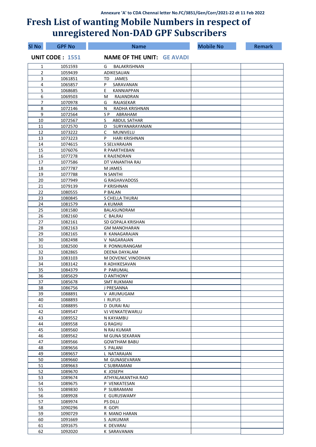| <b>SI No</b>   | <b>GPF No</b>          | <b>Name</b>                       | <b>Mobile No</b> | <b>Remark</b> |
|----------------|------------------------|-----------------------------------|------------------|---------------|
|                | <b>UNIT CODE: 1551</b> | <b>NAME OF THE UNIT: GE AVADI</b> |                  |               |
| 1              | 1051593                | BALAKRISHNAN<br>G                 |                  |               |
| $\overline{2}$ | 1059439                | ADIKESAUAN                        |                  |               |
| 3              | 1061851                | TD JAMES                          |                  |               |
| 4              | 1065857                | P<br>SARAVANAN                    |                  |               |
| 5              | 1068685                | E.<br><b>KANNIAPPAN</b>           |                  |               |
| 6              | 1069503                | RAJANDRAN<br>М                    |                  |               |
| $\overline{7}$ | 1070978                | RAJASEKAR<br>G                    |                  |               |
| 8              | 1072146                | RADHA KRISHNAN<br>N               |                  |               |
| 9              | 1072564                | ABRAHAM<br>S P                    |                  |               |
| 10             | 1072567                | S<br><b>ABDUL SATHAR</b>          |                  |               |
| 11             | 1072570                | SURYANARAYANAN<br>D               |                  |               |
| 12             | 1073222                | C<br>MUNIVELU                     |                  |               |
| 13             | 1073223                | P<br><b>HARI KRISHNAN</b>         |                  |               |
| 14             | 1074615                | S SELVARAJAN                      |                  |               |
| 15             | 1076076                | R PAARTHEBAN                      |                  |               |
| 16<br>17       | 1077278<br>1077586     | K RAJENDRAN<br>DT VANANTHA RAJ    |                  |               |
| 18             | 1077787                | M JAMES                           |                  |               |
| 19             | 1077788                | N SANTHI                          |                  |               |
| 20             | 1077949                | <b>G RAGHAVADOSS</b>              |                  |               |
| 21             | 1079139                | P KRISHNAN                        |                  |               |
| 22             | 1080555                | P BALAN                           |                  |               |
| 23             | 1080845                | S CHELLA THURAI                   |                  |               |
| 24             | 1081579                | A KUMAR                           |                  |               |
| 25             | 1081580                | BALASUNDRAM                       |                  |               |
| 26             | 1082160                | C BALRAJ                          |                  |               |
| 27             | 1082161                | SD GOPALA KRISHAN                 |                  |               |
| 28             | 1082163                | <b>GM MANOHARAN</b>               |                  |               |
| 29             | 1082165                | R KANAGARAJAN                     |                  |               |
| 30             | 1082498                | V NAGARAJAN                       |                  |               |
| 31             | 1082500                | R PONNURANGAM                     |                  |               |
| 32             | 1082865                | <b>DEENA DAYALAM</b>              |                  |               |
| 33             | 1083103                | M DOVENIC VINODHAN                |                  |               |
| 34             | 1083142                | R ADHIKESAVAN                     |                  |               |
| 35             | 1084379                | P PARUMAL                         |                  |               |
| 36             | 1085629                | <b>D ANTHONY</b>                  |                  |               |
| 37             | 1085678                | <b>SMT RUKMANI</b>                |                  |               |
| 38             | 1086756                | J PRESANNA                        |                  |               |
| 39             | 1088891                | V ARUMUGAM                        |                  |               |
| 40             | 1088893                | I RUFUS                           |                  |               |
| 41             | 1088895                | D DURAI RAJ                       |                  |               |
| 42             | 1089547                | VJ VENKATEWARLU                   |                  |               |
| 43             | 1089552                | N KAYAMBU                         |                  |               |
| 44             | 1089558                | <b>G RAGHU</b>                    |                  |               |
| 45             | 1089560                | N RAJ KUMAR                       |                  |               |
| 46             | 1089562                | M GUNA SEKARAN                    |                  |               |
| 47             | 1089566                | <b>GOWTHAM BABU</b>               |                  |               |
| 48             | 1089656                | S PALANI                          |                  |               |
| 49             | 1089657                | L NATARAJAN                       |                  |               |
| 50             | 1089660                | M GUNASEVARAN                     |                  |               |
| 51             | 1089663                | C SUBRAMANI                       |                  |               |
| 52             | 1089670                | K JOSEPH                          |                  |               |
| 53<br>54       | 1089674<br>1089675     | ATHYALAKANTHA RAO                 |                  |               |
| 55             | 1089830                | P VENKATESAN<br>P SUBRAMANI       |                  |               |
| 56             | 1089928                | E GURUSWAMY                       |                  |               |
| 57             | 1089974                | <b>PS DILLI</b>                   |                  |               |
| 58             | 1090296                | R GOPI                            |                  |               |
| 59             | 1090729                | R MANO HARAN                      |                  |               |
| 60             | 1091669                | S AJIKUMAR                        |                  |               |
| 61             | 1091675                | K DEVARAJ                         |                  |               |
| 62             | 1092020                | K SARAVANAN                       |                  |               |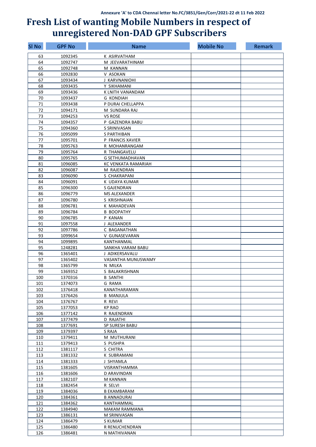| <b>SI No</b> | <b>GPF No</b>      | <b>Name</b>                      | <b>Mobile No</b> | <b>Remark</b> |
|--------------|--------------------|----------------------------------|------------------|---------------|
| 63           | 1092345            | K ASIRVATHAM                     |                  |               |
| 64           | 1092747            | M JEEVARATHINAM                  |                  |               |
| 65           | 1092748            | M KANNAN                         |                  |               |
| 66           | 1092830            | V ASOKAN                         |                  |               |
| 67           | 1093434            | J KARVNANIOHI                    |                  |               |
| 68           | 1093435            | Y SIKHAMANI                      |                  |               |
| 69           | 1093436            | K LNITH VANANDAM                 |                  |               |
| 70           | 1093437            | <b>G KONDIAH</b>                 |                  |               |
| 71           | 1093438            | P DURAI CHELLAPPA                |                  |               |
| 72           | 1094171            | M SUNDARA RAJ                    |                  |               |
| 73           | 1094253            | <b>VS ROSE</b>                   |                  |               |
| 74           | 1094357            | P GAZENDRA BABU                  |                  |               |
| 75           | 1094360            | S SRINIVASAN                     |                  |               |
| 76           | 1095099            | S PARTHIBAN                      |                  |               |
| 77           | 1095701            | P FRANCIS XAVIER                 |                  |               |
| 78           | 1095763            | R MOHANRANGAM                    |                  |               |
| 79           | 1095764            | R THANGAVELU                     |                  |               |
| 80           | 1095765            | G SETHUMADHAVAN                  |                  |               |
| 81           | 1096085            | KC VENKATA RAMARIAH              |                  |               |
| 82           | 1096087            | M RAJENDRAN                      |                  |               |
| 83           | 1096090            | S CHAKRAPANI                     |                  |               |
| 84           | 1096091            | K UDAYA KUMAR                    |                  |               |
| 85           | 1096300            | S GAJENDRAN                      |                  |               |
| 86           | 1096779            | <b>MS ALEXANDER</b>              |                  |               |
| 87           | 1096780            | S KRISHNAIAN                     |                  |               |
| 88           | 1096781            | K MAHADEVAN                      |                  |               |
| 89           | 1096784            | <b>B BOOPATHY</b>                |                  |               |
| 90           | 1096785            | P KANAN                          |                  |               |
| 91           | 1097558            | J ALEXANDER                      |                  |               |
| 92           | 1097786            | C BAGANATHAN                     |                  |               |
| 93           | 1099654            | V GUNASEVARAN                    |                  |               |
| 94           | 1099895            | KANTHANMAL                       |                  |               |
| 95           | 1248281            | SANKHA VARAM BABU                |                  |               |
| 96           | 1365401            | J ADIKERSAVALU                   |                  |               |
| 97           | 1365402            | VASANTHA MUNUSWAMY               |                  |               |
| 98           | 1365799            | N MILKA                          |                  |               |
| 99           | 1369352            | S BALAKRISHNAN                   |                  |               |
| 100          | 1370316            | <b>B SANTHI</b>                  |                  |               |
| 101<br>102   | 1374073            | G RAMA                           |                  |               |
| 103          | 1376418<br>1376426 | KANATHARAMAN<br><b>B MANJULA</b> |                  |               |
| 104          | 1376767            | R REVI                           |                  |               |
| 105          | 1377053            | <b>KP RAO</b>                    |                  |               |
| 106          | 1377142            | R RAJENDRAN                      |                  |               |
| 107          | 1377479            | <b>D RAJATHI</b>                 |                  |               |
| 108          | 1377691            | SP SURESH BABU                   |                  |               |
| 109          | 1379397            | S RAJA                           |                  |               |
| 110          | 1379411            | M MUTHURANI                      |                  |               |
| 111          | 1379413            | S PUSHPA                         |                  |               |
| 112          | 1381117            | S CHITRA                         |                  |               |
| 113          | 1381332            | K SUBRAMANI                      |                  |               |
| 114          | 1381333            | J SHYAMLA                        |                  |               |
| 115          | 1381605            | VISRANTHAMMA                     |                  |               |
| 116          | 1381606            | D ARAVINDAN                      |                  |               |
| 117          | 1382107            | M KANNAN                         |                  |               |
| 118          | 1382454            | R SELVI                          |                  |               |
| 119          | 1384036            | <b>B EKAMBARAM</b>               |                  |               |
| 120          | 1384361            | <b>B ANNADURAI</b>               |                  |               |
| 121          | 1384362            | KANTHAMMAL                       |                  |               |
| 122          | 1384940            | <b>MAKAM RAMMANA</b>             |                  |               |
| 123          | 1386131            | M SRINIVASAN                     |                  |               |
| 124          | 1386479            | S KUMAR                          |                  |               |
| 125          | 1386480            | R RENUCHENDRAN                   |                  |               |
| 126          | 1386481            | N MATHIVANAN                     |                  |               |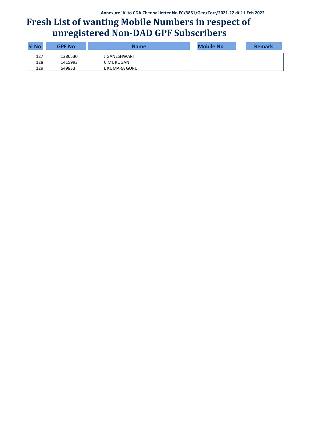| <b>SI No</b> | <b>GPF No</b> | <b>Name</b>    | <b>Mobile No</b> | <b>Remark</b> |
|--------------|---------------|----------------|------------------|---------------|
| 127          | 1386530       | I GANESHWARI   |                  |               |
| 128          | 1415993       | C MURUGAN      |                  |               |
| 129          | 649833        | '. KUMARA GURU |                  |               |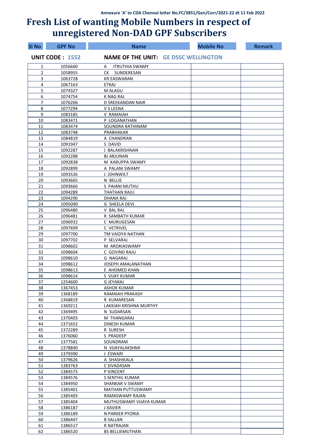| SI No          | <b>GPF No</b>          | <b>Name</b>                                 | <b>Mobile No</b> | <b>Remark</b> |
|----------------|------------------------|---------------------------------------------|------------------|---------------|
|                | <b>UNIT CODE: 1552</b> | <b>NAME OF THE UNIT: GE DSSC WELLINGTON</b> |                  |               |
| 1              | 1056660                | <b>ITRUTHIA SWAMY</b><br>A                  |                  |               |
| 2              | 1058955                | CK SUNDERESAN                               |                  |               |
| 3              | 1063728                | <b>KR EASWARAN</b>                          |                  |               |
| 4              | 1067163                | <b>ETRAJ</b>                                |                  |               |
| 5              | 1074327                | M ALAGU                                     |                  |               |
| 6              | 1074754                | K NAG RAJ                                   |                  |               |
| $\overline{7}$ | 1076206                | D SREEKANDAN NAIR                           |                  |               |
| 8              | 1077294                | V S LEENA                                   |                  |               |
| 9              | 1083185                | V RAMAIAH                                   |                  |               |
| 10<br>11       | 1083471<br>1083474     | P LOGANATHAN<br>SOUNDRA RATHINAM            |                  |               |
| 12             | 1083748                | PRABHAKAR                                   |                  |               |
| 13             | 1084819                | A CHANDRAN                                  |                  |               |
| 14             | 1091947                | S DAVID                                     |                  |               |
| 15             | 1092287                | J BALAKRISHNAN                              |                  |               |
| 16             | 1092288                | <b>BJ ARJUNAN</b>                           |                  |               |
| 17             | 1092838                | M KARUPPA SWAMY                             |                  |               |
| 18             | 1092899                | A PALANI SWAMY                              |                  |               |
| 19             | 1093526                | J JOHNWILT                                  |                  |               |
| 20             | 1093665                | N BELLIE                                    |                  |               |
| 21             | 1093666                | S PAIANI MUTHU                              |                  |               |
| 22             | 1094289                | THATHAN RAJU                                |                  |               |
| 23             | 1094290                | DHANA RAJ                                   |                  |               |
| 24             | 1095090                | <b>G SHEELA DEVI</b>                        |                  |               |
| 25             | 1096480                | V BAL RAJ                                   |                  |               |
| 26             | 1096481                | R SAMBATH KUMAR                             |                  |               |
| 27             | 1096932                | C MURUGESAN                                 |                  |               |
| 28             | 1097699                | C VETRIVEL                                  |                  |               |
| 29             | 1097700                | TM VAIDYA NATHAN                            |                  |               |
| 30             | 1097702                | P SELVARAJ                                  |                  |               |
| 31<br>32       | 1098602<br>1098604     | M AROKIASWAMY<br>C GOVIND RAJU              |                  |               |
| 33             | 1098610                | G NAGARAJ                                   |                  |               |
| 34             | 1098612                | JOSEPH AMALANATHAN                          |                  |               |
| 35             | 1098613                | E AHOMED KHAN                               |                  |               |
| 36             | 1098614                | S VIJAY KUMAR                               |                  |               |
| 37             | 1254600                | <b>G JEYARAJ</b>                            |                  |               |
| 38             | 1367453                | ASHOK KUMAR                                 |                  |               |
| 39             | 1368189                | RAMAIAH PRAKASH                             |                  |               |
| 40             | 1368819                | R KUMARESAN                                 |                  |               |
| 41             | 1369211                | LAKKIAH KRISHNA MURTHY                      |                  |               |
| 42             | 1369495                | N SUDARSAN                                  |                  |               |
| 43             | 1370403                | M THANGARAJ                                 |                  |               |
| 44             | 1371652                | DINESH KUMAR                                |                  |               |
| 45             | 1372289                | R SURESH                                    |                  |               |
| 46<br>47       | 1376060                | S PRADEEP                                   |                  |               |
| 48             | 1377581<br>1378840     | SOUNDRAM                                    |                  |               |
| 49             | 1379390                | N VIJAYALAKSHMI<br>J ESWARI                 |                  |               |
| 50             | 1379626                | A SHASHIKALA                                |                  |               |
| 51             | 1383763                | C SIVADASAN                                 |                  |               |
| 52             | 1384575                | P VINCENT                                   |                  |               |
| 53             | 1384576                | S SENTHIL KUMAR                             |                  |               |
| 54             | 1384950                | SHANKAR V SWAMY                             |                  |               |
| 55             | 1385401                | MATHAN PUTTUSWAMY                           |                  |               |
| 56             | 1385403                | RAMASWAMY RAJAN                             |                  |               |
| 57             | 1385404                | MUTHUSWAMY VIJAYA KUMAR                     |                  |               |
| 58             | 1386187                | J XAVIER                                    |                  |               |
| 59             | 1386189                | N PARKER PYORIA                             |                  |               |
| 60             | 1386447                | <b>B SALLAN</b>                             |                  |               |
| 61             | 1386517                | R NATRAJAN                                  |                  |               |
| 62             | 1386520                | <b>BS BELLIEMUTHAN</b>                      |                  |               |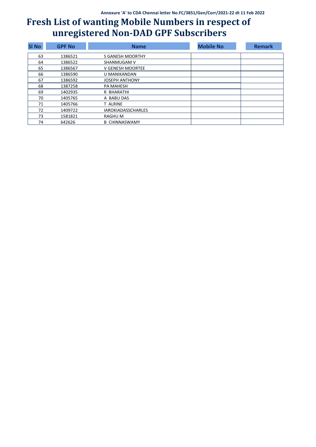| <b>SI No</b> | <b>GPF No</b> | <b>Name</b>               | <b>Mobile No</b> | <b>Remark</b> |
|--------------|---------------|---------------------------|------------------|---------------|
| 63           | 1386521       | S GANESH MOORTHY          |                  |               |
| 64           | 1386522       | SHANMUGAM V               |                  |               |
| 65           | 1386567       | V GENESH MOORTEE          |                  |               |
| 66           | 1386590       | U MANIKANDAN              |                  |               |
| 67           | 1386592       | <b>JOSEPH ANTHONY</b>     |                  |               |
| 68           | 1387258       | <b>PA MAHESH</b>          |                  |               |
| 69           | 1402935       | R BHARATHI                |                  |               |
| 70           | 1405765       | A BABU DAS                |                  |               |
| 71           | 1405766       | T ALRINE                  |                  |               |
| 72           | 1409722       | <b>IAROKIADASSCHARLES</b> |                  |               |
| 73           | 1581821       | RAGHU M                   |                  |               |
| 74           | 642626        | <b>B CHINNASWAMY</b>      |                  |               |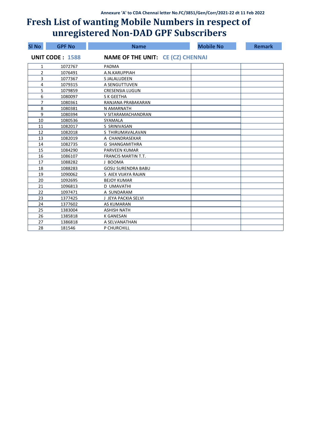| <b>SI No</b>   | <b>GPF No</b>          | <b>Name</b>                              | <b>Mobile No</b> | <b>Remark</b> |
|----------------|------------------------|------------------------------------------|------------------|---------------|
|                | <b>UNIT CODE: 1588</b> | <b>NAME OF THE UNIT: CE (CZ) CHENNAI</b> |                  |               |
| 1              | 1072767                | PADMA                                    |                  |               |
| 2              | 1076491                | A.N.KARUPPIAH                            |                  |               |
| 3              | 1077367                | <b>S JALALUDEEN</b>                      |                  |               |
| 4              | 1079315                | A SENGUTTUVEN                            |                  |               |
| 5              | 1079859                | <b>CRESENSIA LUGUN</b>                   |                  |               |
| 6              | 1080097                | S K GEETHA                               |                  |               |
| $\overline{7}$ | 1080361                | RANJANA PRABAKARAN                       |                  |               |
| 8              | 1080381                | N AMARNATH                               |                  |               |
| 9              | 1080394                | V SITARAMACHANDRAN                       |                  |               |
| 10             | 1080536                | SYAMALA                                  |                  |               |
| 11             | 1082017                | S SRINIVASAN                             |                  |               |
| 12             | 1082018                | S THIRUMAVALAVAN                         |                  |               |
| 13             | 1082019                | A CHANDRASEKAR                           |                  |               |
| 14             | 1082735                | <b>G SHANGAMITHRA</b>                    |                  |               |
| 15             | 1084290                | <b>PARVEEN KUMAR</b>                     |                  |               |
| 16             | 1086107                | <b>FRANCIS MARTIN T.T.</b>               |                  |               |
| 17             | 1088282                | J BOOMA                                  |                  |               |
| 18             | 1088283                | <b>GOSU SURENDRA BABU</b>                |                  |               |
| 19             | 1090062                | S AIEX VIJAYA RAJAN                      |                  |               |
| 20             | 1092695                | <b>BEJOY KUMAR</b>                       |                  |               |
| 21             | 1096813                | <b>D UMAVATHI</b>                        |                  |               |
| 22             | 1097471                | A SUNDARAM                               |                  |               |
| 23             | 1377425                | J JEYA PACKIA SELVI                      |                  |               |
| 24             | 1377602                | <b>AS KUMARAN</b>                        |                  |               |
| 25             | 1383004                | <b>ASHISH NATH</b>                       |                  |               |
| 26             | 1385818                | <b>K GANESAN</b>                         |                  |               |
| 27             | 1386818                | A SELVANATHAN                            |                  |               |
| 28             | 181546                 | P CHURCHILL                              |                  |               |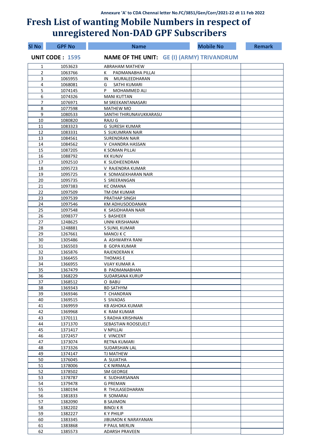| SI No    | <b>GPF No</b>          | <b>Name</b>                                       | <b>Mobile No</b> | <b>Remark</b> |
|----------|------------------------|---------------------------------------------------|------------------|---------------|
|          | <b>UNIT CODE: 1595</b> | <b>NAME OF THE UNIT: GE (I) (ARMY) TRIVANDRUM</b> |                  |               |
| 1        | 1053623                | <b>ABRAHAM MATHEW</b>                             |                  |               |
| 2        | 1063766                | PADMANABHA PILLAI<br>К                            |                  |               |
| 3        | 1065955                | MURALEEDHARAN<br>ΙN                               |                  |               |
| 4        | 1068081                | SATHI KUMARI<br>G                                 |                  |               |
| 5        | 1074145                | P<br>MOHAMMED ALI                                 |                  |               |
| 6        | 1074326                | <b>MANI KUTTAN</b>                                |                  |               |
| 7        | 1076971                | M SREEKANTANASARI                                 |                  |               |
| 8        | 1077598                | <b>MATHEW MO</b>                                  |                  |               |
| 9        | 1080533                | SANTHI THIRUNAVUKKARASU                           |                  |               |
| 10       | 1080820                | <b>RAJU G</b>                                     |                  |               |
| 11       | 1083323                | G SURESH KUMAR                                    |                  |               |
| 12       | 1083331                | S SUKUMRAN NAIR                                   |                  |               |
| 13       | 1084561<br>1084562     | <b>SURENDRAN NAIR</b>                             |                  |               |
| 14<br>15 |                        | V CHANDRA HASSAN                                  |                  |               |
| 16       | 1087205<br>1088792     | K SOMAN PILLAI<br><b>KK KUNJV</b>                 |                  |               |
| 17       | 1092510                | K SUDHEENDRAN                                     |                  |               |
| 18       | 1095723                | V RAJENDRA KUMAR                                  |                  |               |
| 19       | 1095725                | K SOMASEKHARAN NAIR                               |                  |               |
| 20       | 1095735                | S SREERANGAN                                      |                  |               |
| 21       | 1097383                | <b>KCOMANA</b>                                    |                  |               |
| 22       | 1097509                | TM OM KUMAR                                       |                  |               |
| 23       | 1097539                | PRATHAP SINGH                                     |                  |               |
| 24       | 1097546                | KM ADHUSOODANAN                                   |                  |               |
| 25       | 1097548                | K SASIDHARAN NAIR                                 |                  |               |
| 26       | 1098377                | S BASHEER                                         |                  |               |
| 27       | 1248625                | UNNI KRISHANAN                                    |                  |               |
| 28       | 1248881                | S SUNIL KUMAR                                     |                  |               |
| 29       | 1267661                | <b>MANOJ K C</b>                                  |                  |               |
| 30       | 1305486                | A ASHWARYA RANI                                   |                  |               |
| 31       | 1365503                | <b>B GOPA KUMAR</b>                               |                  |               |
| 32       | 1365876                | <b>RAJENDERAN K</b>                               |                  |               |
| 33       | 1366455                | <b>THOMASE</b>                                    |                  |               |
| 34       | 1366955                | <b>VIJAY KUMAR A</b>                              |                  |               |
| 35       | 1367479                | <b>B PADMANABHAN</b>                              |                  |               |
| 36       | 1368229                | SUDARSANA KURUP                                   |                  |               |
| 37       | 1368512                | O BABU                                            |                  |               |
| 38       | 1369343                | <b>BD SATHYM</b>                                  |                  |               |
| 39       | 1369346                | T CHANDRAN                                        |                  |               |
| 40       | 1369515                | S SIVADAS                                         |                  |               |
| 41       | 1369959                | <b>KB ASHOKA KUMAR</b>                            |                  |               |
| 42       | 1369968                | K RAM KUMAR                                       |                  |               |
| 43       | 1370111                | S RADHA KRISHNAN                                  |                  |               |
| 44       | 1371370                | SEBASTIAN ROOSEUELT                               |                  |               |
| 45       | 1371417                | V NPILLAI                                         |                  |               |
| 46       | 1372457                | E VINCENT                                         |                  |               |
| 47       | 1373074                | RETNA KUMARI                                      |                  |               |
| 48       | 1373326                | SUDARSHAN LAL                                     |                  |               |
| 49       | 1374147                | TJ MATHEW                                         |                  |               |
| 50       | 1376045                | A SUJATHA                                         |                  |               |
| 51<br>52 | 1378006                | C K NIRMALA<br>SM GEORGE                          |                  |               |
| 53       | 1378502<br>1378787     | K SUDHARSANAN                                     |                  |               |
| 54       | 1379478                | <b>G PREMAN</b>                                   |                  |               |
| 55       | 1380194                | R THULASEDHARAN                                   |                  |               |
| 56       | 1381833                | R SOMARAJ                                         |                  |               |
| 57       | 1382090                | <b>B SAJIMON</b>                                  |                  |               |
| 58       | 1382202                | <b>BINOJ K R</b>                                  |                  |               |
| 59       | 1382227                | K Y PHILIP                                        |                  |               |
| 60       | 1383345                | JIBUMON K NARAYANAN                               |                  |               |
| 61       | 1383868                | P PAUL MERLIN                                     |                  |               |
| 62       | 1385573                | <b>ADARSH PRAVEEN</b>                             |                  |               |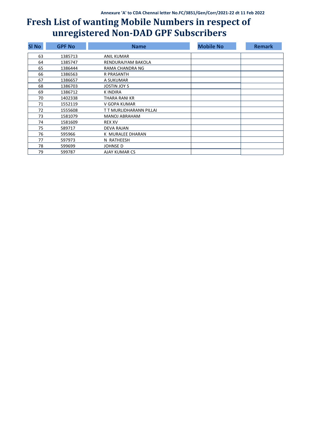| <b>SI No</b> | <b>GPF No</b> | <b>Name</b>             | <b>Mobile No</b> | <b>Remark</b> |
|--------------|---------------|-------------------------|------------------|---------------|
| 63           | 1385713       | ANIL KUMAR              |                  |               |
| 64           | 1385747       | RENDURAJYAM BAKOLA      |                  |               |
| 65           | 1386444       | RAMA CHANDRA NG         |                  |               |
| 66           | 1386563       | <b>R PRASANTH</b>       |                  |               |
| 67           | 1386657       | A SUKUMAR               |                  |               |
| 68           | 1386703       | JOSTIN JOY S            |                  |               |
| 69           | 1386712       | <b>KINDIRA</b>          |                  |               |
| 70           | 1402338       | THARA RANI KR           |                  |               |
| 71           | 1552119       | V GOPA KUMAR            |                  |               |
| 72           | 1555608       | T T MURLIDHARANN PILLAI |                  |               |
| 73           | 1581079       | <b>MANOJ ABRAHAM</b>    |                  |               |
| 74           | 1581609       | <b>REX XV</b>           |                  |               |
| 75           | 589717        | <b>DEVA RAJAN</b>       |                  |               |
| 76           | 595966        | K MURALEE DHARAN        |                  |               |
| 77           | 597973        | N RATHEESH              |                  |               |
| 78           | 599699        | JOHNSE D                |                  |               |
| 79           | 599787        | AJAY KUMAR CS           |                  |               |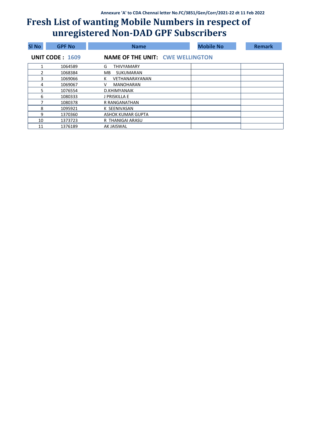| <b>SI No</b> | <b>GPF No</b>          | <b>Name</b>                             | <b>Mobile No</b> | <b>Remark</b> |
|--------------|------------------------|-----------------------------------------|------------------|---------------|
|              | <b>UNIT CODE: 1609</b> | <b>NAME OF THE UNIT: CWE WELLINGTON</b> |                  |               |
| 1            | 1064589                | G<br><b>THIVYAMARY</b>                  |                  |               |
|              | 1068384                | SUKUMARAN<br>MВ                         |                  |               |
| 3            | 1069066                | К<br>VETHANARAYANAN                     |                  |               |
| 4            | 1069067                | <b>MANOHARAN</b><br>v                   |                  |               |
| 5.           | 1076554                | D.KHIMYANAIK                            |                  |               |
| 6            | 1080333                | J PRISKILLA E                           |                  |               |
|              | 1080378                | R RANGANATHAN                           |                  |               |
| 8            | 1095921                | K SEENIVASAN                            |                  |               |
| 9            | 1370360                | ASHOK KUMAR GUPTA                       |                  |               |
| 10           | 1373723                | R THANIGAI ARASU                        |                  |               |
| 11           | 1376189                | <b>AK JAISWAL</b>                       |                  |               |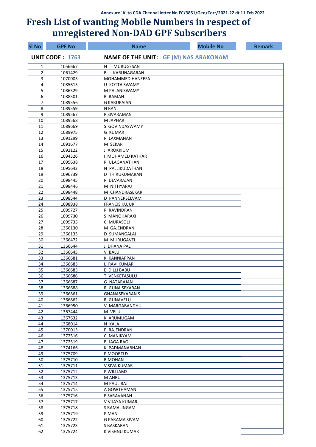| <b>SI No</b> | <b>GPF No</b>          | <b>Name</b>                        | <b>Mobile No</b>                             | <b>Remark</b> |
|--------------|------------------------|------------------------------------|----------------------------------------------|---------------|
|              | <b>UNIT CODE: 1763</b> |                                    | <b>NAME OF THE UNIT: GE (M) NAS ARAKONAM</b> |               |
| 1            | 1056667                | <b>MURUGESAN</b><br>N              |                                              |               |
| 2            | 1061429                | KARUNAGARAN<br>B                   |                                              |               |
| 3            | 1070003                | MOHAMMED HANEEFA                   |                                              |               |
| 4            | 1085613                | U KOTTA SWAMY                      |                                              |               |
| 5            | 1086529                | M PALANISWAMY                      |                                              |               |
| 6            | 1088501                | R RAMAN                            |                                              |               |
| 7            | 1089556                | <b>G KARUPAIAN</b>                 |                                              |               |
| 8<br>9       | 1089559                | N RANI<br>P SIVARAMAN              |                                              |               |
| 10           | 1089567<br>1089568     | M JAPHAR                           |                                              |               |
| 11           | 1089669                | S GOVINDASWAMY                     |                                              |               |
| 12           | 1089975                | <b>G KUMAR</b>                     |                                              |               |
| 13           | 1091299                | R LAXMANAN                         |                                              |               |
| 14           | 1091677                | M SEKAR                            |                                              |               |
| 15           | 1092122                | J AROKKIUM                         |                                              |               |
| 16           | 1094326                | I MOHAMED KATHAR                   |                                              |               |
| 17           | 1095638                | R ULAGANATHAN                      |                                              |               |
| 18           | 1095643                | N PALLIKUDATHAN                    |                                              |               |
| 19           | 1096739                | D THIRUKUMARAN                     |                                              |               |
| 20           | 1098445                | R DEVARAJAN                        |                                              |               |
| 21           | 1098446                | M NITHYARAJ                        |                                              |               |
| 22           | 1098448                | M CHANDRASEKAR                     |                                              |               |
| 23           | 1098544                | D PANNERSELVAM                     |                                              |               |
| 24           | 1098938                | <b>FRANCIS KUJUR</b>               |                                              |               |
| 25           | 1099727                | R RAVINDRAN                        |                                              |               |
| 26           | 1099730                | S MANOHARAXI                       |                                              |               |
| 27           | 1099735                | C MURASOLI                         |                                              |               |
| 28           | 1366130                | M GAJENDRAN                        |                                              |               |
| 29           | 1366133                | D SUMANGALAI                       |                                              |               |
| 30<br>31     | 1366472<br>1366644     | M MURUGAVEL<br>J DHANA PAL         |                                              |               |
| 32           | 1366645                | V BALU                             |                                              |               |
| 33           | 1366681                | K KANNIAPPAN                       |                                              |               |
| 34           | 1366683                | L RAVI KUMAR                       |                                              |               |
| 35           | 1366685                | E DILLI BABU                       |                                              |               |
| 36           | 1366686                | T VENKETASULU                      |                                              |               |
| 37           | 1366687                | G NATARAJAN                        |                                              |               |
| 38           | 1366688                | R GUNA SEKARAN                     |                                              |               |
| 39           | 1366861                | <b>GNANASEKARAN S</b>              |                                              |               |
| 40           | 1366862                | R GUNAVELU                         |                                              |               |
| 41           | 1366950                | V MARGABANDHU                      |                                              |               |
| 42           | 1367444                | M VELU                             |                                              |               |
| 43           | 1367632                | K ARUMUGAM                         |                                              |               |
| 44           | 1368014                | N KALA                             |                                              |               |
| 45           | 1370013                | P RAJENDRAN                        |                                              |               |
| 46           | 1372516                | C MANIKYAM                         |                                              |               |
| 47<br>48     | 1372519<br>1374166     | <b>B JAGA RAO</b><br>K PADMANABHAN |                                              |               |
| 49           | 1375709                | P MOORTUY                          |                                              |               |
| 50           | 1375710                | R MOHAN                            |                                              |               |
| 51           | 1375711                | V SIVA KUMAR                       |                                              |               |
| 52           | 1375712                | P WILLIAMS                         |                                              |               |
| 53           | 1375713                | <b>M ANBU</b>                      |                                              |               |
| 54           | 1375714                | M PAUL RAJ                         |                                              |               |
| 55           | 1375715                | A GOWTHAMAN                        |                                              |               |
| 56           | 1375716                | E SARAVANAN                        |                                              |               |
| 57           | 1375717                | V VIJAYA KUMAR                     |                                              |               |
| 58           | 1375718                | S RAMALINGAM                       |                                              |               |
| 59           | 1375719                | P MANI                             |                                              |               |
| 60           | 1375722                | G PARAMA SIVAM                     |                                              |               |
| 61           | 1375723                | S BASKARAN                         |                                              |               |
| 62           | 1375724                | K VISHNU KUMAR                     |                                              |               |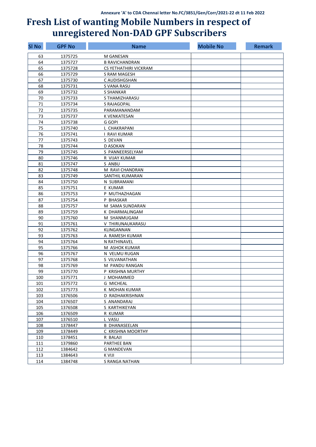| <b>SI No</b> | <b>GPF No</b> | <b>Name</b>           | <b>Mobile No</b> | <b>Remark</b> |
|--------------|---------------|-----------------------|------------------|---------------|
| 63           | 1375725       | M GANESAN             |                  |               |
| 64           | 1375727       | <b>B RAVICHANDRAN</b> |                  |               |
| 65           | 1375728       | CS YETHATHIRI VICKRAM |                  |               |
| 66           | 1375729       | S RAM MAGESH          |                  |               |
| 67           | 1375730       | C AUDISHGSHAN         |                  |               |
| 68           | 1375731       | S VANA RASU           |                  |               |
| 69           | 1375732       | <b>S SHANKAR</b>      |                  |               |
| 70           | 1375733       | S THAMIZHARASU        |                  |               |
| 71           | 1375734       | S RAJAGOPAL           |                  |               |
| 72           | 1375735       | PARAMANANDAM          |                  |               |
| 73           | 1375737       | K VENKATESAN          |                  |               |
| 74           | 1375738       | G GOPI                |                  |               |
| 75           | 1375740       | L CHAKRAPANI          |                  |               |
| 76           | 1375741       | <b>I RAVI KUMAR</b>   |                  |               |
| 77           | 1375743       | S DEVAN               |                  |               |
| 78           | 1375744       | D ASOKAN              |                  |               |
| 79           | 1375745       | S PANNEERSELYAM       |                  |               |
| 80           | 1375746       | R VIJAY KUMAR         |                  |               |
| 81           | 1375747       | S ANBU                |                  |               |
| 82           | 1375748       | M RAVI CHANDRAN       |                  |               |
| 83           | 1375749       | SANTHIL KUMARAN       |                  |               |
| 84           | 1375750       | N SUBRAMANI           |                  |               |
| 85           | 1375751       | E KUMAR               |                  |               |
| 86           | 1375753       | P MUTHAZHAGAN         |                  |               |
| 87           | 1375754       | P BHASKAR             |                  |               |
| 88           | 1375757       | M SAMA SUNDARAN       |                  |               |
| 89           | 1375759       | K DHARMALINGAM        |                  |               |
| 90           | 1375760       | M SHANMUGAM           |                  |               |
| 91           | 1375761       | V THIRUNAUKARASU      |                  |               |
| 92           | 1375762       | KLINGANNAN            |                  |               |
| 93           | 1375763       | A RAMESH KUMAR        |                  |               |
| 94           | 1375764       | N RATHINAVEL          |                  |               |
| 95           | 1375766       | M ASHOK KUMAR         |                  |               |
| 96           | 1375767       | N VELMU RUGAN         |                  |               |
| 97           | 1375768       | S VILVANATHAN         |                  |               |
| 98           | 1375769       | M PANDU RANGAN        |                  |               |
| 99           | 1375770       | P KRISHNA MURTHY      |                  |               |
| 100          | 1375771       | J MOHAMMED            |                  |               |
| 101          | 1375772       | <b>G MICHEAL</b>      |                  |               |
| 102          | 1375773       | K MOHAN KUMAR         |                  |               |
| 103          | 1376506       | D RADHAKRISHNAN       |                  |               |
| 104          | 1376507       | S ANANDARAJ           |                  |               |
| 105          | 1376508       | S KARTHIKEYAN         |                  |               |
| 106          | 1376509       | R KUMAR               |                  |               |
| 107          | 1376510       | L VASU                |                  |               |
| 108          | 1378447       | <b>B DHANASEELAN</b>  |                  |               |
| 109          | 1378449       | C KRISHNA MOORTHY     |                  |               |
| 110          | 1378451       | R BALAJI              |                  |               |
| 111          | 1379860       | <b>PARTHEE BAN</b>    |                  |               |
| 112          | 1384642       | <b>G MANDEVAN</b>     |                  |               |
| 113          | 1384643       | K VIJI                |                  |               |
| 114          | 1384748       | S RANGA NATHAN        |                  |               |
|              |               |                       |                  |               |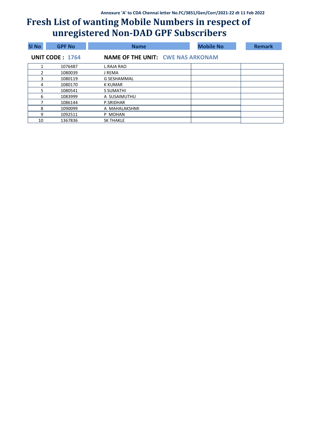| <b>SI No</b> | <b>GPF No</b>          | <b>Name</b>                              | <b>Mobile No</b> | <b>Remark</b> |
|--------------|------------------------|------------------------------------------|------------------|---------------|
|              | <b>UNIT CODE: 1764</b> | <b>NAME OF THE UNIT: CWE NAS ARKONAM</b> |                  |               |
|              | 1076487                | <b>L.RAJA RAO</b>                        |                  |               |
| 2            | 1080039                | I REMA                                   |                  |               |
| 3            | 1080119                | G SESHAMMAL                              |                  |               |
| 4            | 1080170                | <b>K KUMAR</b>                           |                  |               |
| 5.           | 1080541                | S SUMATHI                                |                  |               |
| 6            | 1083999                | A SUSAIMUTHU                             |                  |               |
|              | 1086144                | P.SRIDHAR                                |                  |               |
| 8            | 1090099                | A MAHALAKSHMI                            |                  |               |
| 9            | 1092511                | P MOHAN                                  |                  |               |
| 10           | 1367836                | <b>SK THAKLE</b>                         |                  |               |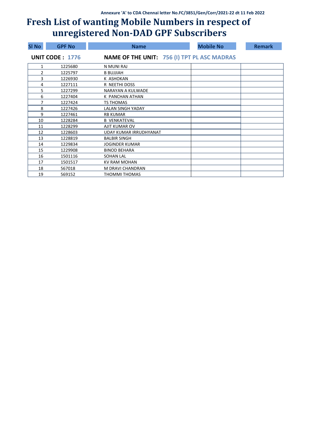| <b>SI No</b> | <b>GPF No</b>          | <b>Name</b>                                        | <b>Mobile No</b> | <b>Remark</b> |
|--------------|------------------------|----------------------------------------------------|------------------|---------------|
|              | <b>UNIT CODE: 1776</b> | <b>NAME OF THE UNIT: 756 (I) TPT PL ASC MADRAS</b> |                  |               |
| 1            | 1225680                | N MUNI RAJ                                         |                  |               |
| 2            | 1225797                | <b>B BUJJIAH</b>                                   |                  |               |
| 3            | 1226930                | K ASHOKAN                                          |                  |               |
| 4            | 1227111                | R NEETHI DOSS                                      |                  |               |
| 5            | 1227299                | NARAYAN A KULWADE                                  |                  |               |
| 6            | 1227404                | K PANCHAN ATHAN                                    |                  |               |
| 7            | 1227424                | TS THOMAS                                          |                  |               |
| 8            | 1227426                | LALAN SINGH YADAY                                  |                  |               |
| 9            | 1227461                | <b>RB KUMAR</b>                                    |                  |               |
| 10           | 1228284                | <b>B VENKATEVAL</b>                                |                  |               |
| 11           | 1228299                | AJIT KUMAR OV                                      |                  |               |
| 12           | 1228603                | UDAY KUMAR IRRUDHYANAT                             |                  |               |
| 13           | 1228819                | <b>BALBIR SINGH</b>                                |                  |               |
| 14           | 1229834                | <b>JOGINDER KUMAR</b>                              |                  |               |
| 15           | 1229908                | <b>BINOD BEHARA</b>                                |                  |               |
| 16           | 1501116                | <b>SOHAN LAL</b>                                   |                  |               |
| 17           | 1501517                | <b>KV RAM MOHAN</b>                                |                  |               |
| 18           | 567018                 | M DRAVI CHANDRAN                                   |                  |               |
| 19           | 569152                 | <b>THOMMI THOMAS</b>                               |                  |               |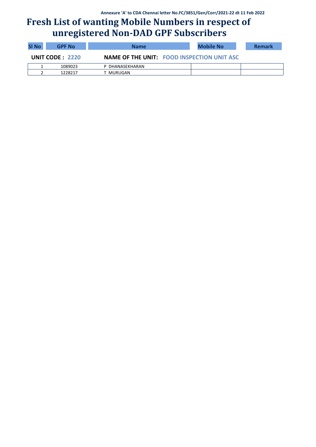| <b>SI No</b> | <b>GPF No</b>   | <b>Name</b>                                       | Mobile No | <b>Remark</b> |
|--------------|-----------------|---------------------------------------------------|-----------|---------------|
|              | UNIT CODE: 2220 | <b>NAME OF THE UNIT: FOOD INSPECTION UNIT ASC</b> |           |               |
|              | 1089023         | P DHANASEKHARAN                                   |           |               |
|              | 1228217         | T MURUGAN                                         |           |               |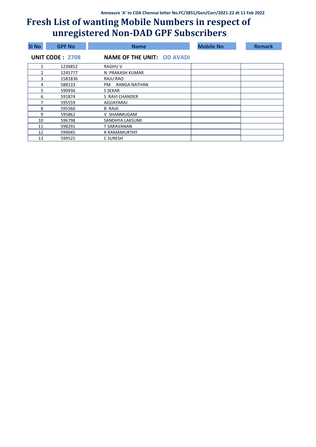| <b>SI No</b> | <b>GPF No.</b>         | <b>Name</b>                       | <b>Mobile No</b> | <b>Remark</b> |
|--------------|------------------------|-----------------------------------|------------------|---------------|
|              | <b>UNIT CODE: 2708</b> | <b>NAME OF THE UNIT: OD AVADI</b> |                  |               |
|              | 1236852                | <b>RAGHUV</b>                     |                  |               |
| 2            | 1245777                | N PRAKASH KUMAR                   |                  |               |
| 3            | 1581836                | RAJU RAO                          |                  |               |
| 4            | 588133                 | RANGA NATHAN<br>PM                |                  |               |
| 5            | 590936                 | S SEKAR                           |                  |               |
| 6            | 591874                 | S RAVI CHANDER                    |                  |               |
| 7            | 595559                 | ADJJAYARAJ                        |                  |               |
| 8            | 595560                 | B RAJA                            |                  |               |
| 9            | 595862                 | V SHANMUGAM                       |                  |               |
| 10           | 596798                 | SANDHYA LAKSUMI                   |                  |               |
| 11           | 598291                 | T SARAVANAN                       |                  |               |
| 12           | 599045                 | <b>R RAMAMURTHY</b>               |                  |               |
| 13           | 599525                 | C SURESH                          |                  |               |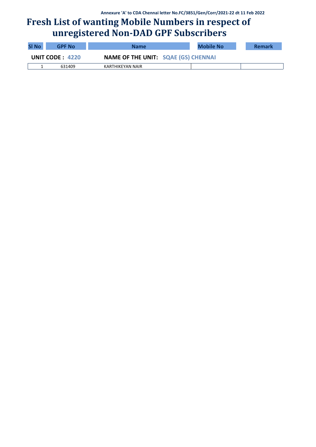| <b>SI No</b>    | <b>GPF No</b> | <b>Name</b>                                | <b>Mobile No</b> | <b>Remark</b> |
|-----------------|---------------|--------------------------------------------|------------------|---------------|
| UNIT CODE: 4220 |               | <b>NAME OF THE UNIT: SQAE (GS) CHENNAI</b> |                  |               |
|                 | 631409        | KARTHIKEYAN NAIR                           |                  |               |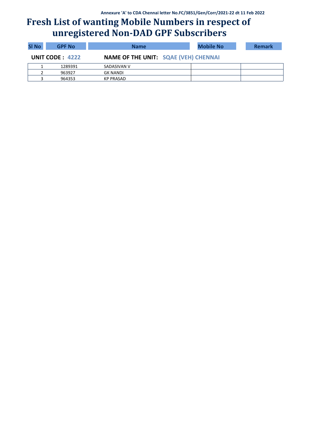| <b>SI No</b> | <b>GPF No</b>   | <b>Name</b>                                 | <b>Mobile No</b> | <b>Remark</b> |
|--------------|-----------------|---------------------------------------------|------------------|---------------|
|              | UNIT CODE: 4222 | <b>NAME OF THE UNIT: SQAE (VEH) CHENNAI</b> |                  |               |
|              | 1289391         | SADASIVAN V                                 |                  |               |
|              | 963927          | GK NANDI                                    |                  |               |
|              | 964353          | KP PRASAD                                   |                  |               |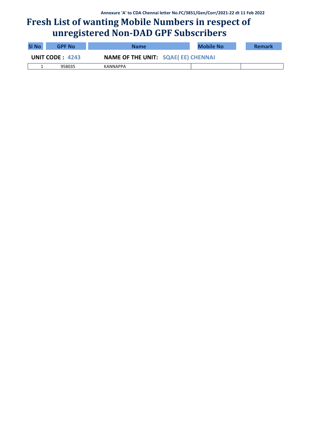| <b>SI No</b>           | <b>GPF No</b> | <b>Name</b>                               | <b>Mobile No</b> | <b>Remark</b> |
|------------------------|---------------|-------------------------------------------|------------------|---------------|
| <b>UNIT CODE: 4243</b> |               | <b>NAME OF THE UNIT: SQAE(EE) CHENNAI</b> |                  |               |
|                        | 958035        | KANNAPPA                                  |                  |               |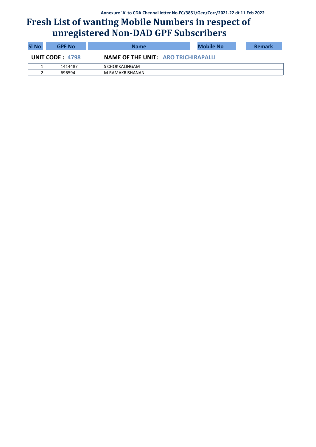| <b>SI No</b> | <b>GPF No</b>   | <b>Name</b>                                | <b>Mobile No</b> | <b>Remark</b> |
|--------------|-----------------|--------------------------------------------|------------------|---------------|
|              | UNIT CODE: 4798 | <b>NAME OF THE UNIT: ARO TRICHIRAPALLI</b> |                  |               |
|              | 1414487         | S CHOKKALINGAM                             |                  |               |
|              | 696594          | M RAMAKRISHANAN                            |                  |               |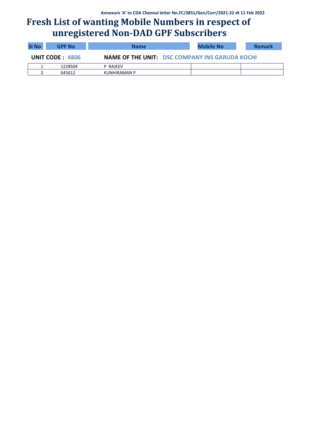| <b>SI No</b> | <b>GPF No</b>     | <b>Name</b>  |                                                       | Mobile No |  | <b>Remark</b> |
|--------------|-------------------|--------------|-------------------------------------------------------|-----------|--|---------------|
|              | UNIT CODE: $4806$ |              | <b>NAME OF THE UNIT: DSC COMPANY INS GARUDA KOCHI</b> |           |  |               |
|              | 1228504           | P RAJEEV     |                                                       |           |  |               |
|              | 645612            | KUNHIRAMAN P |                                                       |           |  |               |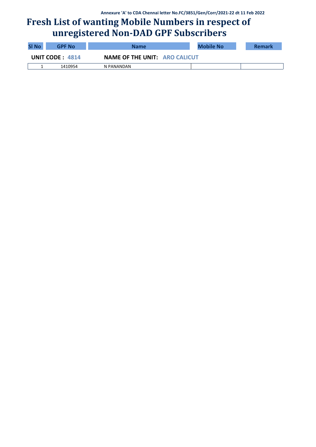| <b>SI No</b>    | <b>GPF No</b> | Name                                 | Mobile No | <b>Remark</b> |
|-----------------|---------------|--------------------------------------|-----------|---------------|
| UNIT CODE: 4814 |               | <b>NAME OF THE UNIT: ARO CALICUT</b> |           |               |
|                 | 1410954       | N PANANDAN                           |           |               |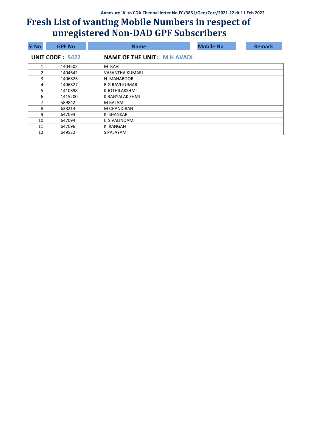| <b>SI No</b> | <b>GPF No</b>          | <b>Name</b>                        | <b>Mobile No</b> | <b>Remark</b> |
|--------------|------------------------|------------------------------------|------------------|---------------|
|              | <b>UNIT CODE: 5422</b> | <b>NAME OF THE UNIT: M H AVADI</b> |                  |               |
|              | 1404502                | M RAVI                             |                  |               |
| 2            | 1404642                | VASANTHA KUMARI                    |                  |               |
| 3            | 1406826                | N MAHABOOBI                        |                  |               |
| 4            | 1406827                | <b>B G RAVI KUMAR</b>              |                  |               |
| 5            | 1410898                | K JOTHILAKSHMI                     |                  |               |
| 6            | 1415200                | K BAGYALAK SHMI                    |                  |               |
|              | 589842                 | M BALAM                            |                  |               |
| 8            | 638214                 | M CHANDIRAN                        |                  |               |
| 9            | 647093                 | K SHANKAR                          |                  |               |
| 10           | 647094                 | L SIVALINOAM                       |                  |               |
| 11           | 647096                 | K RANGAN                           |                  |               |
| 12           | 649532                 | S PALAYAM                          |                  |               |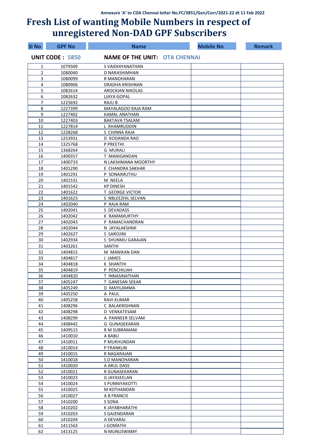| <b>SI No</b>   | <b>GPF No</b>          | <b>Name</b>                          | <b>Mobile No</b> | <b>Remark</b> |
|----------------|------------------------|--------------------------------------|------------------|---------------|
|                | <b>UNIT CODE: 5850</b> | <b>NAME OF THE UNIT: OTA CHENNAI</b> |                  |               |
| 1              | 1079309                | S VAIDHIYANATHAN                     |                  |               |
| $\overline{2}$ | 1080040                | D NARASHIMHAN                        |                  |               |
| 3              | 1080099                | R MANOHARAN                          |                  |               |
| 4              | 1080906                | DRADHA KRISHNAN                      |                  |               |
| 5              | 1082614                | <b>AROCKIAN NIKOLAS</b>              |                  |               |
| 6              | 1082632                | <b>LJAYA GOPAL</b>                   |                  |               |
| 7              | 1225692                | RAJU B                               |                  |               |
| 8              | 1227399                | MAYALAGOO RAJA RAM                   |                  |               |
| 9              | 1227402                | <b>KAMAL ANATHAN</b>                 |                  |               |
| 10             | 1227403                | <b>BAKTAVA TSALAM</b>                |                  |               |
| 11             | 1227814                | L KHAMRUDDIN                         |                  |               |
| 12             | 1228268                | S CHINNA RAJA                        |                  |               |
| 13             | 1253931                | D KODANDA RAO                        |                  |               |
| 14<br>15       | 1325768<br>1368264     | P PREETHI<br><b>G MURALI</b>         |                  |               |
| 16             | 1400357                | T MANIGANDAN                         |                  |               |
| 17             | 1400733                | N LAKSHMANA MOORTHY                  |                  |               |
| 18             | 1401290                | E CHANDRA SAKHAR                     |                  |               |
| 19             | 1401291                | P SONAIMUTHU                         |                  |               |
| 20             | 1401531                | M NEELA                              |                  |               |
| 21             | 1401542                | <b>KP DINESH</b>                     |                  |               |
| 22             | 1401622                | <b>T GEORGE VICTOR</b>               |                  |               |
| 23             | 1401623                | S NBLEEZHIL SELVAN                   |                  |               |
| 24             | 1402040                | P RAJA RAM                           |                  |               |
| 25             | 1402041                | S DEVADASS                           |                  |               |
| 26             | 1402042                | K RAMAMURTHY                         |                  |               |
| 27             | 1402043                | P RAMACHANDRAN                       |                  |               |
| 28             | 1402044                | N JAYALAKSHMI                        |                  |               |
| 29             | 1402627                | S SAROJINI                           |                  |               |
| 30             | 1402934                | S SHUNMU GARAJAN                     |                  |               |
| 31             | 1403261                | <b>SANTHI</b>                        |                  |               |
| 32             | 1404815                | M MANIKAN DAN                        |                  |               |
| 33             | 1404817                | J JAMES                              |                  |               |
| 34             | 1404818                | <b>K SHANTHI</b>                     |                  |               |
| 35             | 1404819                | P PENCHILIAH                         |                  |               |
| 36             | 1404820                | T INNASINATHAN                       |                  |               |
| 37             | 1405247                | T GANESAN SEKAR                      |                  |               |
| 38             | 1405249                | D MAYILAMMA                          |                  |               |
| 39             | 1405250                | A PAUL                               |                  |               |
| 40             | 1405258                | RAVI KUMAR                           |                  |               |
| 41             | 1408296                | C BALAKRISHNAN                       |                  |               |
| 42             | 1408298                | D VENKATESAM                         |                  |               |
| 43<br>44       | 1408299<br>1408442     | A PANNEER SELVAM<br>G GUNASEKARAN    |                  |               |
| 45             | 1409515                | R M SUBRAMANI                        |                  |               |
| 46             | 1410010                | A BABU                               |                  |               |
| 47             | 1410011                | P MUKHUNDAN                          |                  |               |
| 48             | 1410014                | P FRANKLIN                           |                  |               |
| 49             | 1410015                | R NAGARAJAN                          |                  |               |
| 50             | 1410018                | S D MANOHARAN                        |                  |               |
| 51             | 1410020                | A ARUL DASS                          |                  |               |
| 52             | 1410021                | R GUNASEKARAN                        |                  |               |
| 53             | 1410023                | <b>G JAYASEELAN</b>                  |                  |               |
| 54             | 1410024                | S PUNNIYAKOTTI                       |                  |               |
| 55             | 1410025                | M KOTHANDAN                          |                  |               |
| 56             | 1410027                | A B FRANCIS                          |                  |               |
| 57             | 1410200                | S SONA                               |                  |               |
| 58             | 1410202                | K JAYABHARATHI                       |                  |               |
| 59             | 1410203                | S GAJENDARAN                         |                  |               |
| 60             | 1410204                | A DEVARAJ                            |                  |               |
| 61             | 1411563                | J GOMATHI                            |                  |               |
| 62             | 1413125                | N MUNUSWAMY                          |                  |               |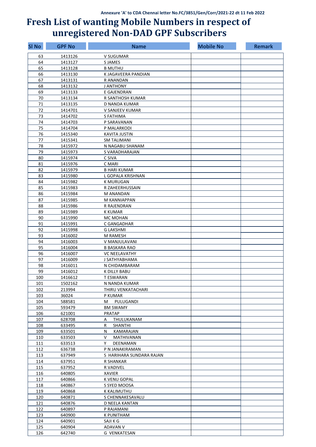| <b>SI No</b> | <b>GPF No</b>    | <b>Name</b>              | <b>Mobile No</b> | <b>Remark</b> |
|--------------|------------------|--------------------------|------------------|---------------|
| 63           | 1413126          | V SUGUMAR                |                  |               |
| 64           | 1413127          | <b>SJAMES</b>            |                  |               |
| 65           | 1413128          | <b>B MUTHU</b>           |                  |               |
| 66           | 1413130          | K JAGAVEERA PANDIAN      |                  |               |
| 67           | 1413131          | R ANANDAN                |                  |               |
| 68           | 1413132          | J ANTHONY                |                  |               |
| 69           | 1413133          | E GAJENDRAN              |                  |               |
| 70           | 1413134          | R SANTHOSH KUMAR         |                  |               |
| 71           | 1413135          | D NANDA KUMAR            |                  |               |
| 72           | 1414701          | V SANJEEV KUMAR          |                  |               |
| 73           | 1414702          | S FATHIMA                |                  |               |
| 74           | 1414703          | P SARAVANAN              |                  |               |
| 75           | 1414704          | P MALARKODI              |                  |               |
| 76           | 1415340          | <b>KAVITA JUSTIN</b>     |                  |               |
| 77           | 1415341          | <b>SM TALIMANI</b>       |                  |               |
| 78           | 1415972          | N NAGABU SHANAM          |                  |               |
| 79           | 1415973          | S VARADHARAJAN           |                  |               |
| 80           | 1415974          | C SIVA                   |                  |               |
| 81           | 1415976          | C MARI                   |                  |               |
| 82           | 1415979          | <b>B HARI KUMAR</b>      |                  |               |
| 83           | 1415980          | L GOPALA KRISHNAN        |                  |               |
| 84           | 1415982          | <b>K MURUGAN</b>         |                  |               |
| 85           | 1415983          | R ZAHEERHUSSAIN          |                  |               |
| 86           | 1415984          | <b>M ANANDAN</b>         |                  |               |
| 87           | 1415985          | M KANNIAPPAN             |                  |               |
| 88           | 1415986          | R RAJENDRAN              |                  |               |
| 89           | 1415989          | <b>K KUMAR</b>           |                  |               |
| 90           | 1415990          | MC MOHAN                 |                  |               |
| 91           | 1415991          | C GANGADHAR              |                  |               |
| 92           | 1415998          | <b>G LAKSHMI</b>         |                  |               |
| 93           | 1416002          | M RAMESH                 |                  |               |
| 94           | 1416003          | V MANJULAVANI            |                  |               |
| 95           | 1416004          | <b>B BASKARA RAO</b>     |                  |               |
| 96           | 1416007          | <b>VC NEELAVATHY</b>     |                  |               |
| 97           | 1416009          | J SATHYABHAMA            |                  |               |
| 98           | 1416011          | N CHIDAMBARAM            |                  |               |
| 99           | 1416012          | K DILLY BABU             |                  |               |
| 100          | 1416612          | T ESWARAN                |                  |               |
| 101          | 1502162          | N NANDA KUMAR            |                  |               |
| 102          | 213994           | THIRU VENKATACHARI       |                  |               |
| 103<br>104   | 36024            | P KUMAR<br>M PULUGANDI   |                  |               |
| 105          | 588581<br>593479 | <b>BM SWAMY</b>          |                  |               |
| 106          | 621001           | <b>PRATAP</b>            |                  |               |
| 107          | 628708           | THULUKANAM<br>A          |                  |               |
| 108          | 633495           | SHANTHI<br>R             |                  |               |
| 109          | 633501           | KAMARAJAN<br>N           |                  |               |
| 110          | 633503           | V.<br>MATHIVANAN         |                  |               |
| 111          | 633513           | Y<br>DEENAMAN            |                  |               |
| 112          | 636738           | P N JANAKIRAMAN          |                  |               |
| 113          | 637949           | S HARIHARA SUNDARA RAJAN |                  |               |
| 114          | 637951           | R SHANKAR                |                  |               |
| 115          | 637952           | R VADIVEL                |                  |               |
| 116          | 640805           | XAVIER                   |                  |               |
| 117          | 640866           | K VENU GOPAL             |                  |               |
| 118          | 640867           | S SYED MOOSA             |                  |               |
| 119          | 640868           | K KALIMUTHU              |                  |               |
| 120          | 640871           | S CHENNAKESAVALU         |                  |               |
| 121          | 640876           | D NEELA KANTAN           |                  |               |
| 122          | 640897           | P RAJAMANI               |                  |               |
| 123          | 640900           | K PUNITHAM               |                  |               |
| 124          | 640901           | SAJI K G                 |                  |               |
| 125          | 640904           | ADAVAN V                 |                  |               |
| 126          | 642740           | <b>G VENKATESAN</b>      |                  |               |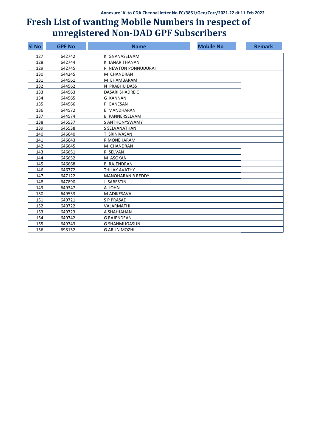| <b>SI No</b> | <b>GPF No</b> | <b>Name</b>              | <b>Mobile No</b> | <b>Remark</b> |
|--------------|---------------|--------------------------|------------------|---------------|
| 127          | 642742        | K GNANASELVAM            |                  |               |
| 128          | 642744        | K JANAR THANAN           |                  |               |
| 129          | 642745        | R NEWTON PONNUDURAI      |                  |               |
| 130          | 644245        | M CHANDRAN               |                  |               |
| 131          | 644561        | M EHAMBARAM              |                  |               |
| 132          | 644562        | N PRABHU DASS            |                  |               |
| 133          | 644563        | <b>DASARI SHADREIC</b>   |                  |               |
| 134          | 644565        | <b>G KANNAN</b>          |                  |               |
| 135          | 644566        | P GANESAN                |                  |               |
| 136          | 644572        | E MANDHARAN              |                  |               |
| 137          | 644574        | <b>B PANNERSELVAM</b>    |                  |               |
| 138          | 645537        | S ANTHONYSWAMY           |                  |               |
| 139          | 645538        | S SELVANATHAN            |                  |               |
| 140          | 646640        | T SRINIVASAN             |                  |               |
| 141          | 646643        | R MONEHARAM              |                  |               |
| 142          | 646645        | M CHANDRAN               |                  |               |
| 143          | 646651        | R SELVAN                 |                  |               |
| 144          | 646652        | M ASOKAN                 |                  |               |
| 145          | 646668        | <b>B RAJENDRAN</b>       |                  |               |
| 146          | 646772        | THILAK AVATHY            |                  |               |
| 147          | 647122        | <b>MANOHARAN R REDDY</b> |                  |               |
| 148          | 647890        | J SABESTIN               |                  |               |
| 149          | 649347        | A JOHN                   |                  |               |
| 150          | 649533        | M ADIKESAVA              |                  |               |
| 151          | 649721        | <b>SP PRASAD</b>         |                  |               |
| 152          | 649722        | VALARMATHI               |                  |               |
| 153          | 649723        | A SHAHJAHAN              |                  |               |
| 154          | 649742        | <b>G RAJENDEAN</b>       |                  |               |
| 155          | 649743        | <b>G SHANMUGASUN</b>     |                  |               |
| 156          | 698152        | <b>G ARUN MOZHI</b>      |                  |               |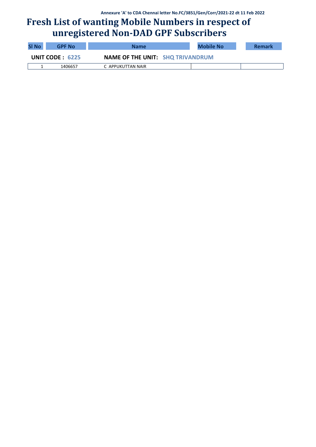| <b>SI No</b>       | <b>GPF No</b> | <b>Name</b>                             | <b>Mobile No</b> | <b>Remark</b> |
|--------------------|---------------|-----------------------------------------|------------------|---------------|
| UNIT CODE : $6225$ |               | <b>NAME OF THE UNIT: SHQ TRIVANDRUM</b> |                  |               |
|                    | 1406657       | C APPUKUTTAN NAIR                       |                  |               |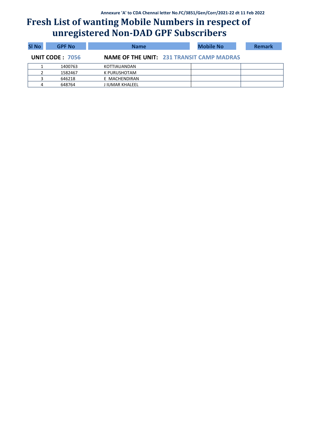| <b>SI No</b> | <b>GPF No</b>          | <b>Name</b>                                      | <b>Mobile No</b> | <b>Remark</b> |
|--------------|------------------------|--------------------------------------------------|------------------|---------------|
|              | <b>UNIT CODE: 7056</b> | <b>NAME OF THE UNIT: 231 TRANSIT CAMP MADRAS</b> |                  |               |
|              | 1400763                | KOTTIAUANDAN                                     |                  |               |
|              | 1582467                | K PURUSHOTAM                                     |                  |               |
|              | 646218                 | E MACHENDIRAN                                    |                  |               |
| 4            | 648764                 | J IUMAR KHALEEL                                  |                  |               |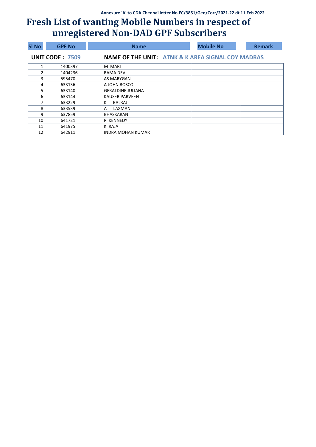| <b>SI No</b> | <b>GPF No.</b>         | <b>Name</b>              | <b>Mobile No</b>                                             | <b>Remark</b> |
|--------------|------------------------|--------------------------|--------------------------------------------------------------|---------------|
|              | <b>UNIT CODE: 7509</b> |                          | <b>NAME OF THE UNIT: ATNK &amp; K AREA SIGNAL COY MADRAS</b> |               |
|              | 1400397                | M MARI                   |                                                              |               |
|              | 1404236                | RAMA DEVI                |                                                              |               |
| 3            | 595470                 | AS MARYGAN               |                                                              |               |
| 4            | 633136                 | A JOHN BOSCO             |                                                              |               |
| 5            | 633140                 | <b>GERALDINE JULIANA</b> |                                                              |               |
| 6            | 633144                 | <b>KAUSER PARVEEN</b>    |                                                              |               |
|              | 633229                 | BALRAJ<br>К              |                                                              |               |
| 8            | 633539                 | LAXMAN<br>A              |                                                              |               |
| 9            | 637859                 | BHASKARAN                |                                                              |               |
| 10           | 641721                 | P KENNEDY                |                                                              |               |
| 11           | 641975                 | K RAJA                   |                                                              |               |
| 12           | 642911                 | <b>INDRA MOHAN KUMAR</b> |                                                              |               |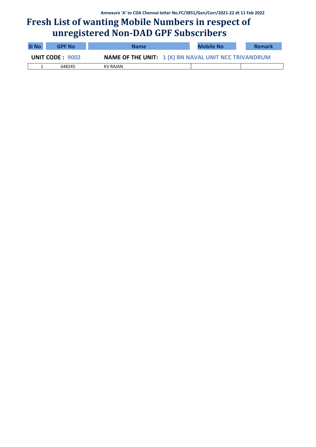| <b>SI No</b>    | <b>GPF No</b> | <b>Name</b> | <b>Mobile No</b>                                            | <b>Remark</b> |
|-----------------|---------------|-------------|-------------------------------------------------------------|---------------|
| UNIT CODE: 9002 |               |             | <b>NAME OF THE UNIT: 1 (K) BN NAVAL UNIT NCC TRIVANDRUM</b> |               |
|                 | 648245        | KV RAJAN    |                                                             |               |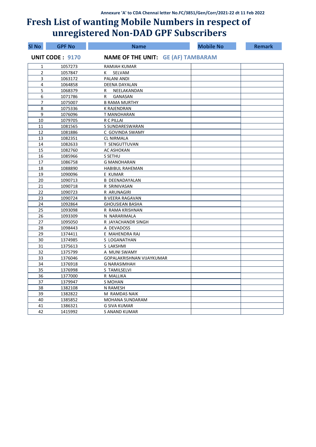| <b>SI No</b>   | <b>GPF No</b>          | <b>Name</b>                               | <b>Mobile No</b> | <b>Remark</b> |
|----------------|------------------------|-------------------------------------------|------------------|---------------|
|                | <b>UNIT CODE: 9170</b> | <b>NAME OF THE UNIT: GE (AF) TAMBARAM</b> |                  |               |
| 1              | 1057273                | RAMIAH KUMAR                              |                  |               |
| $\overline{2}$ | 1057847                | K SELVAM                                  |                  |               |
| 3              | 1063172                | PALANI ANDI                               |                  |               |
| 4              | 1064858                | DEENA DAYALAN                             |                  |               |
| 5              | 1068379                | NEELAKANDAN<br>R                          |                  |               |
| 6              | 1071786                | GANASAN<br>R                              |                  |               |
| $\overline{7}$ | 1075007                | <b>B RAMA MURTHY</b>                      |                  |               |
| 8              | 1075336                | K RAJENDRAN                               |                  |               |
| 9              | 1076096                | T MANOHARAN                               |                  |               |
| 10             | 1079705                | R C PILLAI                                |                  |               |
| 11             | 1081565                | S SUNDARESWARAN                           |                  |               |
| 12             | 1081886                | C GOVINDA SWAMY                           |                  |               |
| 13             | 1082351                | <b>CL NIRMALA</b>                         |                  |               |
| 14             | 1082633                | T SENGUTTUVAN                             |                  |               |
| 15             | 1082760                | AC ASHOKAN                                |                  |               |
| 16             | 1085966                | S SETHU                                   |                  |               |
| 17             | 1086758                | <b>G MANOHARAN</b>                        |                  |               |
| 18             | 1088890                | <b>HABIBUL RAHEMAN</b>                    |                  |               |
| 19             | 1090096                | E KUMAR                                   |                  |               |
| 20             | 1090713                | <b>B DEENADAYALAN</b>                     |                  |               |
| 21             | 1090718                | R SRINIVASAN                              |                  |               |
| 22             | 1090723                | R ARUNAGIRI                               |                  |               |
| 23             | 1090724                | <b>B VEERA RAGAVAN</b>                    |                  |               |
| 24             | 1092864                | <b>GHOUSIEAN BASHA</b>                    |                  |               |
| 25             | 1093098                | R RAMA KRISHNAN                           |                  |               |
| 26             | 1093309                | N NARARIMALA                              |                  |               |
| 27             | 1095050                | R JAYACHANDR SINGH                        |                  |               |
| 28             | 1098443                | A DEVADOSS                                |                  |               |
| 29             | 1374411                | E MAHENDRA RAJ                            |                  |               |
| 30             | 1374985                | S LOGANATHAN                              |                  |               |
| 31             | 1375613                | S LAKSHMI                                 |                  |               |
| 32             | 1375799                | A MUNI SWAMY                              |                  |               |
| 33             | 1376046                | GOPALAKRISHNAN VIJAYKUMAR                 |                  |               |
| 34             | 1376918                | <b>G NARASIMHAH</b>                       |                  |               |
| 35             | 1376998                | S TAMILSELVI                              |                  |               |
| 36             | 1377000                | R MALLIKA                                 |                  |               |
| 37             | 1379947                | S MOHAN                                   |                  |               |
| 38             | 1382108                | N RAMESH                                  |                  |               |
| 39             | 1382822                | M RAMDAS NAIK                             |                  |               |
| 40             | 1385852                | MOHANA SUNDARAM                           |                  |               |
| 41             | 1386321                | <b>G SIVA KUMAR</b>                       |                  |               |
| 42             | 1415992                | <b>S ANAND KUMAR</b>                      |                  |               |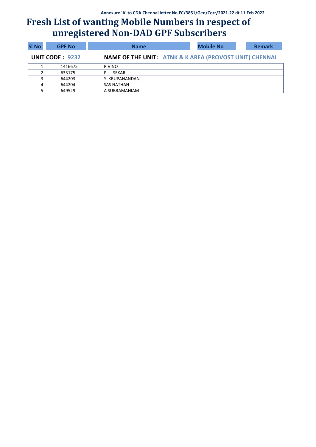| <b>SI No</b>                                                                         | <b>GPF No</b> | <b>Name</b>       |  | <b>Mobile No</b> |  | <b>Remark</b> |
|--------------------------------------------------------------------------------------|---------------|-------------------|--|------------------|--|---------------|
| <b>NAME OF THE UNIT: ATNK &amp; K AREA (PROVOST UNIT) CHENNAI</b><br>UNIT CODE: 9232 |               |                   |  |                  |  |               |
|                                                                                      | 1416675       | R VINO            |  |                  |  |               |
|                                                                                      | 633175        | SEKAR             |  |                  |  |               |
|                                                                                      | 644203        | Y KRUPANANDAN     |  |                  |  |               |
| 4                                                                                    | 644204        | <b>SAS NATHAN</b> |  |                  |  |               |
|                                                                                      | 649529        | A SUBRAMANIAM     |  |                  |  |               |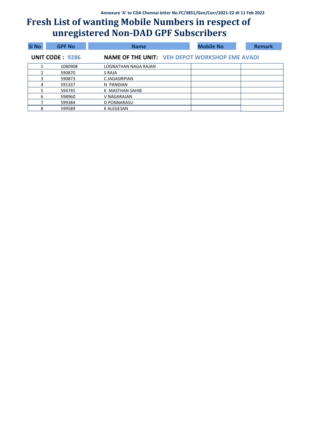| <b>SI No</b> | <b>GPF No</b>          | <b>Name</b>                                           | <b>Mobile No</b> | <b>Remark</b> |
|--------------|------------------------|-------------------------------------------------------|------------------|---------------|
|              | <b>UNIT CODE: 9286</b> | <b>NAME OF THE UNIT: VEH DEPOT WORKSHOP EME AVADI</b> |                  |               |
|              | 1080908                | LOGNATHAN NAGA RAJAN                                  |                  |               |
|              | 590870                 | S RAJA                                                |                  |               |
| 3            | 590873                 | C JAGASIRPIAN                                         |                  |               |
| 4            | 591337                 | N PANDIAN                                             |                  |               |
|              | 594745                 | K MASTHAN SAHIB                                       |                  |               |
| 6            | 598960                 | V NAGARAJAN                                           |                  |               |
|              | 599384                 | D PONNARASU                                           |                  |               |
| 8            | 599589                 | K ALEGESAN                                            |                  |               |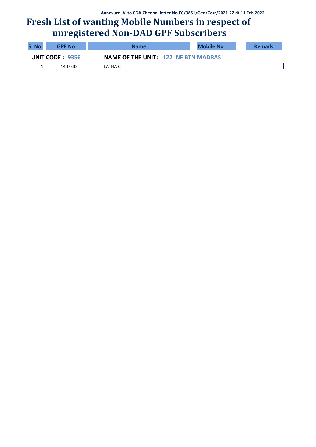| <b>SI No</b>    | <b>GPF No</b> | <b>Name</b>                                 | <b>Mobile No</b> | <b>Remark</b> |
|-----------------|---------------|---------------------------------------------|------------------|---------------|
| UNIT CODE: 9356 |               | <b>NAME OF THE UNIT: 122 INF BTN MADRAS</b> |                  |               |
|                 | 1407332       | LATHA C                                     |                  |               |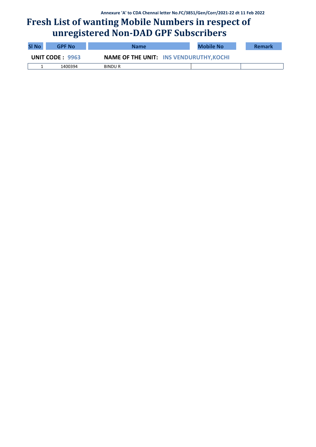| <b>SI No</b>    | <b>GPF No</b> | <b>Name</b>   | <b>Mobile No</b>                               | <b>Remark</b> |
|-----------------|---------------|---------------|------------------------------------------------|---------------|
| UNIT CODE: 9963 |               |               | <b>NAME OF THE UNIT: INS VENDURUTHY, KOCHI</b> |               |
|                 | 1400394       | <b>BINDUR</b> |                                                |               |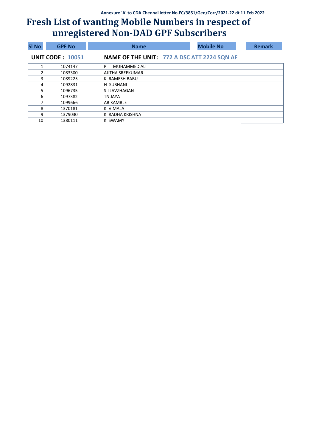| <b>SI No</b>  | <b>GPF No</b>           | <b>Name</b>                                        | <b>Mobile No</b> | <b>Remark</b> |
|---------------|-------------------------|----------------------------------------------------|------------------|---------------|
|               | <b>UNIT CODE: 10051</b> | <b>NAME OF THE UNIT: 772 A DSC ATT 2224 SQN AF</b> |                  |               |
|               | 1074147                 | <b>MUHAMMED ALI</b><br>P                           |                  |               |
| $\mathcal{P}$ | 1083300                 | AJITHA SREEKUMAR                                   |                  |               |
| 3             | 1089225                 | K RAMESH BABU                                      |                  |               |
| 4             | 1092831                 | H SUBHANI                                          |                  |               |
| 5             | 1096735                 | S ILAVZHAGAN                                       |                  |               |
| 6             | 1097382                 | TN JAYA                                            |                  |               |
|               | 1099666                 | AB KAMBLE                                          |                  |               |
| 8             | 1370181                 | K VIMALA                                           |                  |               |
| q             | 1379030                 | K RADHA KRISHNA                                    |                  |               |
| 10            | 1380111                 | <b>K SWAMY</b>                                     |                  |               |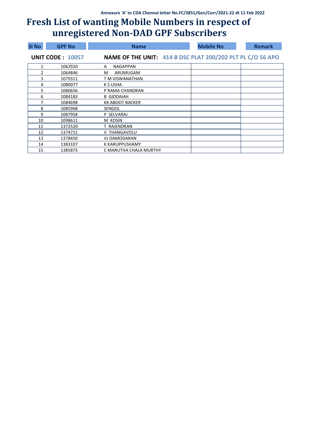| <b>SI No</b> | <b>GPF No</b>           | <b>Name</b>                                                | <b>Mobile No</b> | <b>Remark</b> |
|--------------|-------------------------|------------------------------------------------------------|------------------|---------------|
|              | <b>UNIT CODE: 10057</b> | NAME OF THE UNIT: 414 B DSC PLAT 200/202 PLT PL C/O 56 APO |                  |               |
|              | 1062920                 | <b>NAGAPPAN</b><br>A                                       |                  |               |
| 2            | 1064846                 | ARUMUGAM<br>м                                              |                  |               |
| 3            | 1079311                 | T M VISWANATHAN                                            |                  |               |
| 4            | 1080077                 | K S USHA                                                   |                  |               |
| 5            | 1080656                 | P RAMA CHANDRAN                                            |                  |               |
| 6            | 1084183                 | <b>B GIDDAIAH</b>                                          |                  |               |
| 7            | 1084698                 | KK ABOOT BACKER                                            |                  |               |
| 8            | 1085968                 | <b>SENGOL</b>                                              |                  |               |
| 9            | 1087958                 | P SELVARAJ                                                 |                  |               |
| 10           | 1098611                 | M KOSIN                                                    |                  |               |
| 11           | 1372520                 | T RAJENDRAN                                                |                  |               |
| 12           | 1374711                 | V THANGAVOLU                                               |                  |               |
| 13           | 1378450                 | VJ DAMODARAN                                               |                  |               |
| 14           | 1383107                 | K KARUPPUSHAMY                                             |                  |               |
| 15           | 1385873                 | C MARUTHA CHALA MURTHY                                     |                  |               |